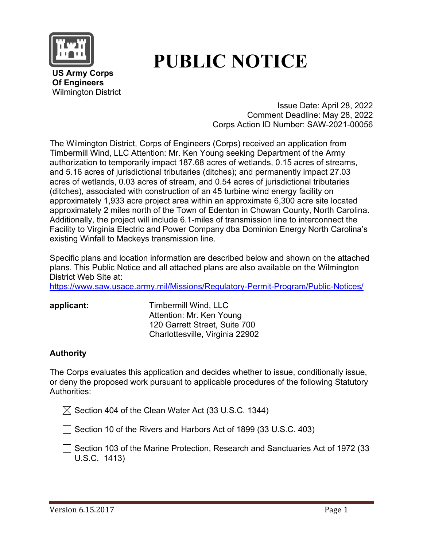

# **PUBLIC NOTICE**

 **US Army Corps Of Engineers** Wilmington District

> Issue Date: April 28, 2022 Comment Deadline: May 28, 2022 Corps Action ID Number: SAW-2021-00056

The Wilmington District, Corps of Engineers (Corps) received an application from Timbermill Wind, LLC Attention: Mr. Ken Young seeking Department of the Army authorization to temporarily impact 187.68 acres of wetlands, 0.15 acres of streams, and 5.16 acres of jurisdictional tributaries (ditches); and permanently impact 27.03 acres of wetlands, 0.03 acres of stream, and 0.54 acres of jurisdictional tributaries (ditches), associated with construction of an 45 turbine wind energy facility on approximately 1,933 acre project area within an approximate 6,300 acre site located approximately 2 miles north of the Town of Edenton in Chowan County, North Carolina. Additionally, the project will include 6.1-miles of transmission line to interconnect the Facility to Virginia Electric and Power Company dba Dominion Energy North Carolina's existing Winfall to Mackeys transmission line.

Specific plans and location information are described below and shown on the attached plans. This Public Notice and all attached plans are also available on the Wilmington District Web Site at:

<https://www.saw.usace.army.mil/Missions/Regulatory-Permit-Program/Public-Notices/>

**applicant:** Timbermill Wind, LLC Attention: Mr. Ken Young 120 Garrett Street, Suite 700 Charlottesville, Virginia 22902

### **Authority**

The Corps evaluates this application and decides whether to issue, conditionally issue, or deny the proposed work pursuant to applicable procedures of the following Statutory Authorities:

 $\boxtimes$  Section 404 of the Clean Water Act (33 U.S.C. 1344)

 $\Box$  Section 10 of the Rivers and Harbors Act of 1899 (33 U.S.C. 403)

◯ Section 103 of the Marine Protection, Research and Sanctuaries Act of 1972 (33 U.S.C. 1413)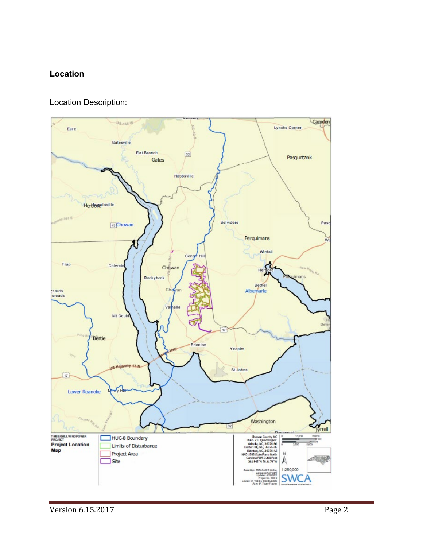### **Location**

#### Location Description:



and a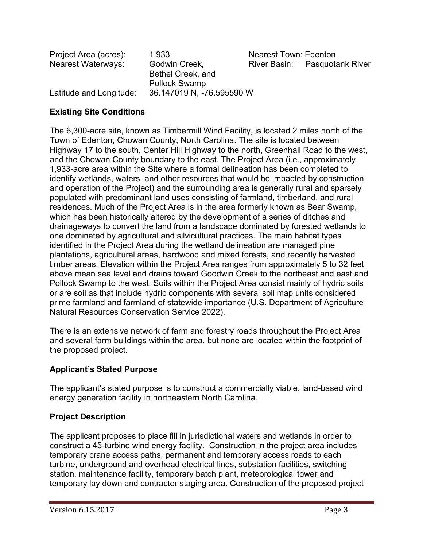| Project Area (acres):     | 1.933                     | <b>Nearest Town: Edenton</b> |                               |
|---------------------------|---------------------------|------------------------------|-------------------------------|
| <b>Nearest Waterways:</b> | Godwin Creek,             |                              | River Basin: Pasquotank River |
|                           | Bethel Creek, and         |                              |                               |
|                           | <b>Pollock Swamp</b>      |                              |                               |
| Latitude and Longitude:   | 36.147019 N, -76.595590 W |                              |                               |

#### **Existing Site Conditions**

The 6,300-acre site, known as Timbermill Wind Facility, is located 2 miles north of the Town of Edenton, Chowan County, North Carolina. The site is located between Highway 17 to the south, Center Hill Highway to the north, Greenhall Road to the west, and the Chowan County boundary to the east. The Project Area (i.e., approximately 1,933-acre area within the Site where a formal delineation has been completed to identify wetlands, waters, and other resources that would be impacted by construction and operation of the Project) and the surrounding area is generally rural and sparsely populated with predominant land uses consisting of farmland, timberland, and rural residences. Much of the Project Area is in the area formerly known as Bear Swamp, which has been historically altered by the development of a series of ditches and drainageways to convert the land from a landscape dominated by forested wetlands to one dominated by agricultural and silvicultural practices. The main habitat types identified in the Project Area during the wetland delineation are managed pine plantations, agricultural areas, hardwood and mixed forests, and recently harvested timber areas. Elevation within the Project Area ranges from approximately 5 to 32 feet above mean sea level and drains toward Goodwin Creek to the northeast and east and Pollock Swamp to the west. Soils within the Project Area consist mainly of hydric soils or are soil as that include hydric components with several soil map units considered prime farmland and farmland of statewide importance (U.S. Department of Agriculture Natural Resources Conservation Service 2022).

There is an extensive network of farm and forestry roads throughout the Project Area and several farm buildings within the area, but none are located within the footprint of the proposed project.

#### **Applicant's Stated Purpose**

The applicant's stated purpose is to construct a commercially viable, land-based wind energy generation facility in northeastern North Carolina.

#### **Project Description**

The applicant proposes to place fill in jurisdictional waters and wetlands in order to construct a 45-turbine wind energy facility. Construction in the project area includes temporary crane access paths, permanent and temporary access roads to each turbine, underground and overhead electrical lines, substation facilities, switching station, maintenance facility, temporary batch plant, meteorological tower and temporary lay down and contractor staging area. Construction of the proposed project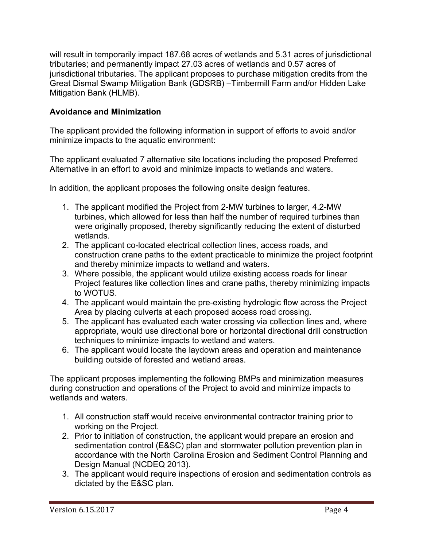will result in temporarily impact 187.68 acres of wetlands and 5.31 acres of jurisdictional tributaries; and permanently impact 27.03 acres of wetlands and 0.57 acres of jurisdictional tributaries. The applicant proposes to purchase mitigation credits from the Great Dismal Swamp Mitigation Bank (GDSRB) –Timbermill Farm and/or Hidden Lake Mitigation Bank (HLMB).

## **Avoidance and Minimization**

The applicant provided the following information in support of efforts to avoid and/or minimize impacts to the aquatic environment:

The applicant evaluated 7 alternative site locations including the proposed Preferred Alternative in an effort to avoid and minimize impacts to wetlands and waters.

In addition, the applicant proposes the following onsite design features.

- 1. The applicant modified the Project from 2-MW turbines to larger, 4.2-MW turbines, which allowed for less than half the number of required turbines than were originally proposed, thereby significantly reducing the extent of disturbed wetlands.
- 2. The applicant co-located electrical collection lines, access roads, and construction crane paths to the extent practicable to minimize the project footprint and thereby minimize impacts to wetland and waters.
- 3. Where possible, the applicant would utilize existing access roads for linear Project features like collection lines and crane paths, thereby minimizing impacts to WOTUS.
- 4. The applicant would maintain the pre-existing hydrologic flow across the Project Area by placing culverts at each proposed access road crossing.
- 5. The applicant has evaluated each water crossing via collection lines and, where appropriate, would use directional bore or horizontal directional drill construction techniques to minimize impacts to wetland and waters.
- 6. The applicant would locate the laydown areas and operation and maintenance building outside of forested and wetland areas.

The applicant proposes implementing the following BMPs and minimization measures during construction and operations of the Project to avoid and minimize impacts to wetlands and waters.

- 1. All construction staff would receive environmental contractor training prior to working on the Project.
- 2. Prior to initiation of construction, the applicant would prepare an erosion and sedimentation control (E&SC) plan and stormwater pollution prevention plan in accordance with the North Carolina Erosion and Sediment Control Planning and Design Manual (NCDEQ 2013).
- 3. The applicant would require inspections of erosion and sedimentation controls as dictated by the E&SC plan.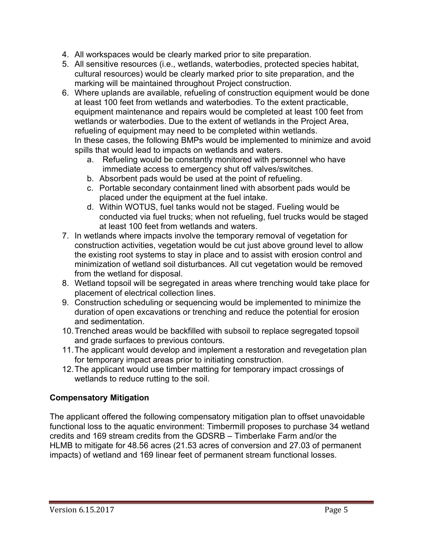- 4. All workspaces would be clearly marked prior to site preparation.
- 5. All sensitive resources (i.e., wetlands, waterbodies, protected species habitat, cultural resources) would be clearly marked prior to site preparation, and the marking will be maintained throughout Project construction.
- 6. Where uplands are available, refueling of construction equipment would be done at least 100 feet from wetlands and waterbodies. To the extent practicable, equipment maintenance and repairs would be completed at least 100 feet from wetlands or waterbodies. Due to the extent of wetlands in the Project Area, refueling of equipment may need to be completed within wetlands. In these cases, the following BMPs would be implemented to minimize and avoid spills that would lead to impacts on wetlands and waters.
	- a. Refueling would be constantly monitored with personnel who have immediate access to emergency shut off valves/switches.
	- b. Absorbent pads would be used at the point of refueling.
	- c. Portable secondary containment lined with absorbent pads would be placed under the equipment at the fuel intake.
	- d. Within WOTUS, fuel tanks would not be staged. Fueling would be conducted via fuel trucks; when not refueling, fuel trucks would be staged at least 100 feet from wetlands and waters.
- 7. In wetlands where impacts involve the temporary removal of vegetation for construction activities, vegetation would be cut just above ground level to allow the existing root systems to stay in place and to assist with erosion control and minimization of wetland soil disturbances. All cut vegetation would be removed from the wetland for disposal.
- 8. Wetland topsoil will be segregated in areas where trenching would take place for placement of electrical collection lines.
- 9. Construction scheduling or sequencing would be implemented to minimize the duration of open excavations or trenching and reduce the potential for erosion and sedimentation.
- 10.Trenched areas would be backfilled with subsoil to replace segregated topsoil and grade surfaces to previous contours.
- 11.The applicant would develop and implement a restoration and revegetation plan for temporary impact areas prior to initiating construction.
- 12.The applicant would use timber matting for temporary impact crossings of wetlands to reduce rutting to the soil.

### **Compensatory Mitigation**

The applicant offered the following compensatory mitigation plan to offset unavoidable functional loss to the aquatic environment: Timbermill proposes to purchase 34 wetland credits and 169 stream credits from the GDSRB – Timberlake Farm and/or the HLMB to mitigate for 48.56 acres (21.53 acres of conversion and 27.03 of permanent impacts) of wetland and 169 linear feet of permanent stream functional losses.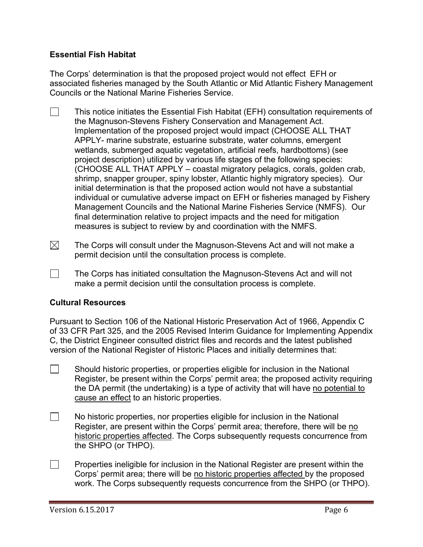#### **Essential Fish Habitat**

The Corps' determination is that the proposed project would not effect EFH or associated fisheries managed by the South Atlantic or Mid Atlantic Fishery Management Councils or the National Marine Fisheries Service.

- $\Box$ This notice initiates the Essential Fish Habitat (EFH) consultation requirements of the Magnuson-Stevens Fishery Conservation and Management Act. Implementation of the proposed project would impact (CHOOSE ALL THAT APPLY- marine substrate, estuarine substrate, water columns, emergent wetlands, submerged aquatic vegetation, artificial reefs, hardbottoms) (see project description) utilized by various life stages of the following species: (CHOOSE ALL THAT APPLY – coastal migratory pelagics, corals, golden crab, shrimp, snapper grouper, spiny lobster, Atlantic highly migratory species). Our initial determination is that the proposed action would not have a substantial individual or cumulative adverse impact on EFH or fisheries managed by Fishery Management Councils and the National Marine Fisheries Service (NMFS). Our final determination relative to project impacts and the need for mitigation measures is subject to review by and coordination with the NMFS.
- $\boxtimes$ The Corps will consult under the Magnuson-Stevens Act and will not make a permit decision until the consultation process is complete.
- $\Box$  The Corps has initiated consultation the Magnuson-Stevens Act and will not make a permit decision until the consultation process is complete.

#### **Cultural Resources**

Pursuant to Section 106 of the National Historic Preservation Act of 1966, Appendix C of 33 CFR Part 325, and the 2005 Revised Interim Guidance for Implementing Appendix C, the District Engineer consulted district files and records and the latest published version of the National Register of Historic Places and initially determines that:

- $\Box$  Should historic properties, or properties eligible for inclusion in the National Register, be present within the Corps' permit area; the proposed activity requiring the DA permit (the undertaking) is a type of activity that will have no potential to cause an effect to an historic properties.
- $\Box$ No historic properties, nor properties eligible for inclusion in the National Register, are present within the Corps' permit area; therefore, there will be no historic properties affected. The Corps subsequently requests concurrence from the SHPO (or THPO).
- $\Box$ Properties ineligible for inclusion in the National Register are present within the Corps' permit area; there will be no historic properties affected by the proposed work. The Corps subsequently requests concurrence from the SHPO (or THPO).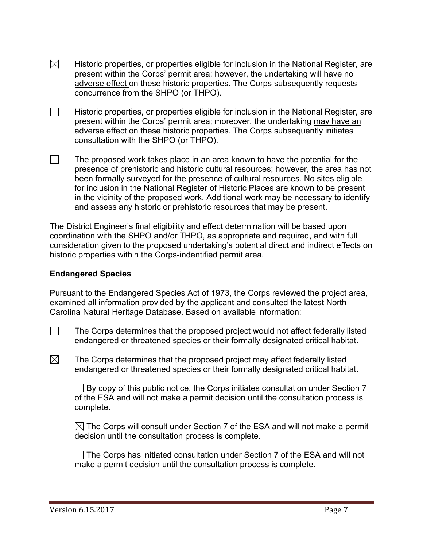- $\boxtimes$ Historic properties, or properties eligible for inclusion in the National Register, are present within the Corps' permit area; however, the undertaking will have no adverse effect on these historic properties. The Corps subsequently requests concurrence from the SHPO (or THPO).
- $\Box$ Historic properties, or properties eligible for inclusion in the National Register, are present within the Corps' permit area; moreover, the undertaking may have an adverse effect on these historic properties. The Corps subsequently initiates consultation with the SHPO (or THPO).
- $\Box$ The proposed work takes place in an area known to have the potential for the presence of prehistoric and historic cultural resources; however, the area has not been formally surveyed for the presence of cultural resources. No sites eligible for inclusion in the National Register of Historic Places are known to be present in the vicinity of the proposed work. Additional work may be necessary to identify and assess any historic or prehistoric resources that may be present.

The District Engineer's final eligibility and effect determination will be based upon coordination with the SHPO and/or THPO, as appropriate and required, and with full consideration given to the proposed undertaking's potential direct and indirect effects on historic properties within the Corps-indentified permit area.

#### **Endangered Species**

Pursuant to the Endangered Species Act of 1973, the Corps reviewed the project area, examined all information provided by the applicant and consulted the latest North Carolina Natural Heritage Database. Based on available information:

 $\Box$  The Corps determines that the proposed project would not affect federally listed endangered or threatened species or their formally designated critical habitat.

 $\boxtimes$  The Corps determines that the proposed project may affect federally listed endangered or threatened species or their formally designated critical habitat.

 $\Box$  By copy of this public notice, the Corps initiates consultation under Section 7 of the ESA and will not make a permit decision until the consultation process is complete.

 $\boxtimes$  The Corps will consult under Section 7 of the ESA and will not make a permit decision until the consultation process is complete.

The Corps has initiated consultation under Section 7 of the ESA and will not make a permit decision until the consultation process is complete.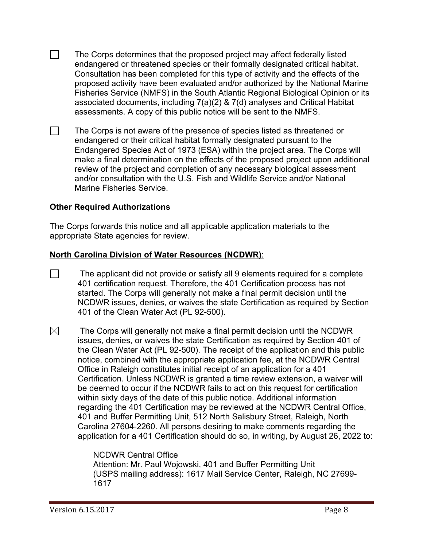$\Box$  The Corps determines that the proposed project may affect federally listed endangered or threatened species or their formally designated critical habitat. Consultation has been completed for this type of activity and the effects of the proposed activity have been evaluated and/or authorized by the National Marine Fisheries Service (NMFS) in the South Atlantic Regional Biological Opinion or its associated documents, including 7(a)(2) & 7(d) analyses and Critical Habitat assessments. A copy of this public notice will be sent to the NMFS.

 $\Box$  The Corps is not aware of the presence of species listed as threatened or endangered or their critical habitat formally designated pursuant to the Endangered Species Act of 1973 (ESA) within the project area. The Corps will make a final determination on the effects of the proposed project upon additional review of the project and completion of any necessary biological assessment and/or consultation with the U.S. Fish and Wildlife Service and/or National Marine Fisheries Service.

#### **Other Required Authorizations**

The Corps forwards this notice and all applicable application materials to the appropriate State agencies for review.

#### **North Carolina Division of Water Resources (NCDWR)**:

- $\Box$  The applicant did not provide or satisfy all 9 elements required for a complete 401 certification request. Therefore, the 401 Certification process has not started. The Corps will generally not make a final permit decision until the NCDWR issues, denies, or waives the state Certification as required by Section 401 of the Clean Water Act (PL 92-500).
- $\boxtimes$  The Corps will generally not make a final permit decision until the NCDWR issues, denies, or waives the state Certification as required by Section 401 of the Clean Water Act (PL 92-500). The receipt of the application and this public notice, combined with the appropriate application fee, at the NCDWR Central Office in Raleigh constitutes initial receipt of an application for a 401 Certification. Unless NCDWR is granted a time review extension, a waiver will be deemed to occur if the NCDWR fails to act on this request for certification within sixty days of the date of this public notice. Additional information regarding the 401 Certification may be reviewed at the NCDWR Central Office, 401 and Buffer Permitting Unit, 512 North Salisbury Street, Raleigh, North Carolina 27604-2260. All persons desiring to make comments regarding the application for a 401 Certification should do so, in writing, by August 26, 2022 to:

#### NCDWR Central Office

Attention: Mr. Paul Wojowski, 401 and Buffer Permitting Unit (USPS mailing address): 1617 Mail Service Center, Raleigh, NC 27699- 1617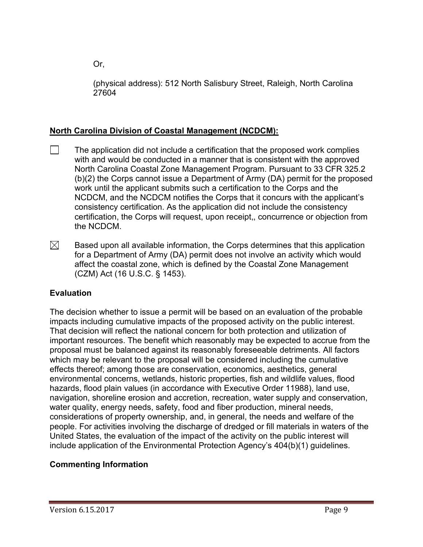Or,

(physical address): 512 North Salisbury Street, Raleigh, North Carolina 27604

# **North Carolina Division of Coastal Management (NCDCM):**

- $\Box$ The application did not include a certification that the proposed work complies with and would be conducted in a manner that is consistent with the approved North Carolina Coastal Zone Management Program. Pursuant to 33 CFR 325.2 (b)(2) the Corps cannot issue a Department of Army (DA) permit for the proposed work until the applicant submits such a certification to the Corps and the NCDCM, and the NCDCM notifies the Corps that it concurs with the applicant's consistency certification. As the application did not include the consistency certification, the Corps will request, upon receipt,, concurrence or objection from the NCDCM.
- $\boxtimes$ Based upon all available information, the Corps determines that this application for a Department of Army (DA) permit does not involve an activity which would affect the coastal zone, which is defined by the Coastal Zone Management (CZM) Act (16 U.S.C. § 1453).

# **Evaluation**

The decision whether to issue a permit will be based on an evaluation of the probable impacts including cumulative impacts of the proposed activity on the public interest. That decision will reflect the national concern for both protection and utilization of important resources. The benefit which reasonably may be expected to accrue from the proposal must be balanced against its reasonably foreseeable detriments. All factors which may be relevant to the proposal will be considered including the cumulative effects thereof; among those are conservation, economics, aesthetics, general environmental concerns, wetlands, historic properties, fish and wildlife values, flood hazards, flood plain values (in accordance with Executive Order 11988), land use, navigation, shoreline erosion and accretion, recreation, water supply and conservation, water quality, energy needs, safety, food and fiber production, mineral needs, considerations of property ownership, and, in general, the needs and welfare of the people. For activities involving the discharge of dredged or fill materials in waters of the United States, the evaluation of the impact of the activity on the public interest will include application of the Environmental Protection Agency's 404(b)(1) guidelines.

# **Commenting Information**